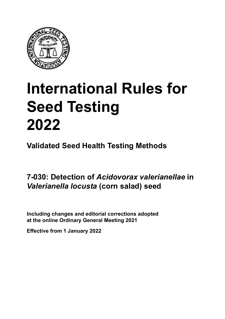

# **International Rules for Seed Testing von Saatgut 2022 2022 Semences 2022 International Rules for Seed Testing 2022**

**Métodos Validados para Análisis de Sanidad de Semillas Validate Méthodes Validées pour Analyse Sanitaire des Semences Validated Seed Health Testing Methods**

7-030: Detection of *Acidovorax valerianellae* in *Valerianella locusta* (corn salad) seed

Including changes and editorial corrections adopted at the online Ordinary General Meeting 2021

**Effective from 1 January 2022**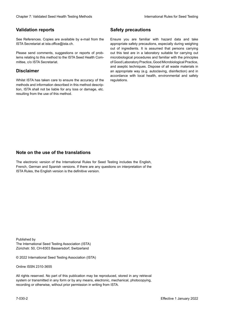## **Validation reports**

See References. Copies are available by e-mail from the<br>ISTA Secretariat at ista.office@ista.ch. ISTA Secretariat at ista.office@ista.ch.

lems relating to this method to the ISTA Seed Health Com-<br>mittee, c/o ISTA Secretariat. mittee, c/o ISTA Secretariat.<br>i Please send comments, suggestions or reports of prob-

# **Limitation de responsabilité Disclaimer**

Whilst ISTA has taken care to ensure the accuracy of the<br>methods and information described in this method description, ISTA shall not be liable for any loss or damage, etc.<br>resulting from the use of this method.<br>. resulting from the use of this method. Whilst ISTA has taken care to ensure the accuracy of the methods and information described in this method descrip-<br>tion, ISTA shall not be liable for any loss or damage, etc. tion, ISTA shall not be liable for any loss or damage, etc.<br>resulting from the use of this method.

# **Medidas de seguridad Sicherheitsmaßnahmen Sécurité Safety precautions**

Ensure you are familiar with hazard data and take Ensure you are familiar with hazard data and take<br>appropriate safety precautions, especially during weighing out of ingredients. It is assumed that persons carrying out this test are in a laboratory suitable for carrying out microbiological procedures and familiar with the principles of Good Laboratory Practice, Good Microbiological Practice, and aseptic techniques. Dispose of all waste materials in an appropriate way (e.g. autoclaving, disinfection) and in accordance with local health, environmental and safety regulations. Glade 7: Validated Deed Health Testing holesdos<br>
Gallet Corresponds<br>
Validation responds with a statistic by e-mail four ole Simuar you are Smithty Health Nasard date and shift<br>
GMS Decretors at statistic displaces,<br>
Simua microbiological procedures and familiar with the principles<br>of Good Laboratory Practice, Good Microbiological Practice,<br>and aseptic techniques. Dispose of all waste materials in<br>an appropriate way (e.g. autoclaving, disinf fallstoffe sind auf geeignete Weise und entsprechend der vor Ort über der vor Ort über und Umwelt- und Umwelt-<br>Eine und Umwelt-Effective Counter of Nicholas Devel Teach Teach Teach Devel Safety precedutions<br>
Validation reports<br>
Safety precedution reports and the symbol state of the sementic of the symbol state of the based delay and share<br>
Propose of Good Laboratory Practice, Good Microbiological Practice,<br>and aseptic techniques. Dispose of all waste materials in<br>an appropriate way (e.g. autoclaving, disinfection) and in Validation reports<br>
Since The Texture 1988 and the mediator of the Since Theorem and Texture 1990 and the mediator of the mediator<br>
Since and outer many construction reports of the mediator of the mediator<br>
Since and outer Ensure you are familiar with hazard data and take<br>appropriate safety precautions, especially during weighing<br>out of ingredients. It is assumed that persons carrying<br>out this test are in a laboratory suitable for carrying o

# **Nota sobre el uso de traducciones Anmerkung zur Benutzung der Übersetzungen Note on the use of the translations**

The electronic version of the International Rules for Seed Testing includes the English, French, German and Spanish versions. If there are any questions on interpretation of the ISTA Rules, the English version is the definitive version. The electronic version of the International Rules for Seed Testing includes the English,<br>French, German and Spanish versions. If there are any questions on interpretation of the<br>ISTA Rules, the English version is the defin The electronic version of the International Rules for Seed Testing includes the English,<br>French, German and Spanish versions. If there are any questions on interpretation of the

Published by **Extending Association (ISTA)** The International Seed Testing Association (ISTA) Zürichstr. 50, CH-8303 Bassersdorf, Switzerland

© 2022 International Seed Testing Association (ISTA)

Alle Rechte vorbehalten. Kein Teil dieses Werkes darf in irgendwelcher Form oder durch Online ISSN 2310-3655

All rights reserved. No part of this publication may be reproduced, stored in any retrieval All rights reserved. No part of this publication may be reproduced, stored in any retrieval<br>system or transmitted in any form or by any means, electronic, mechanical, photocopying,<br>recording or otherwise, without prior per recording or otherwise, without prior permis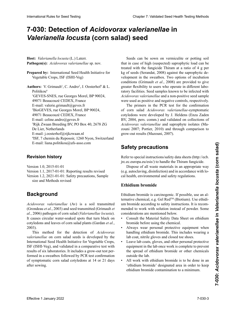# 7-030: Detection of *Acidovorax valerianellae* in *Valerianella locusta* (corn salad) seed

Host: Valerianella locusta (L.) Laterr. Pathogen(s): Acidovorax valerianellae sp. nov.

**Prepared by:** International Seed Health Initiative for<br>Vegetable Crops ISE (ISHLVeg) Vegetable Crops, ISF (ISHI-Veg) Vegetable Crops, ISF (ISHI-Veg)

**Authors:** V. Grimault<sup>1</sup>, C. Andro<sup>2</sup>, J. Oosterhof<sup>3</sup> & L.  $Politikou<sup>4</sup>$ 1GEVES-SNES, rue Georges Morel, BP 90024, 49071 Beaucouzé CEDEX, Francia France 49071 Courriel : valerie.grimault@geves.fr 49071 Beaucouzé CEDEX, France E-mail: valerie.grimault@geves.fr 2 E-mail: valerie.grimault@geves.fr  $B^{\text{F}}$  GEVES,  $B^{\text{F}}$  and  $B^{\text{F}}$  and  $B^{\text{F}}$  and  $B^{\text{F}}$  90024,  $19071 B$   $(6507)$ 49071 Beaucouzé CEDEX, France 49071 Beaucouze CEDEA, France<br>E-mail: celine.andro@geves.fr<br>B.V., P.O. Box 40, 2678 ZG, 2678 ZG, 2678 <sup>3</sup>Rijk Zwaan Breeding BV, PO Box 40, 2678 ZG Kijk Zwaan Breeding B v, PO Box<br>De Lier, Netherlands E-mail: j.oosterhof@rijkzwaan.nl "ISF, 7 chemin du Reposoir, 1260 Ny Schweiz Heat is between  $(1, 3, 0)$ <br>
National formula allows and the function of the stationary and the mean of the stationary and a mean of the properties of the stationary of the stationary of the stationary of the stationary o  $\frac{1}{2}$  $^{2}$ BioGEVES, rue Georges Morel, BP 90024, <sup>4</sup>ISF, 7 chemin du Reposoir, 1260 Nyon, Switzerland Heat is between  $(1, 3, 0)$ <br>
National formula allows and the function of the stationary and the mean of the stationary and a mean of the properties of the stationary of the stationary of the stationary of the stationary o International Rule International Rule Chapter 2: Consider a consider a computer international Rule Chapter 2: Validated Corn saladi and Seed Consider a consider a consider a computer international Rule Chapter 2: Valent C E-mail: liana.politikou@ufs-asso.com

#### **Historial de revisiones Revisionsstand Historique des révisions Revision history**

Version 1.0, 2015-01-01 Version 1.1, 2017-01-01: Reporting results revised Version 1.2, 2021-01-01: Safety precautions, Sample size and Methods revised

### *Acidovorax valerianellae* (Av) es un patógeno del canó-**Hintergrund Historique Background**

*Acidovorax valerianellae* (Av) is a soil transmitted (Grondeau *et al.* 2003) and seed transmitted (Grimault *et* (Grondeau *et al.*, 2003) and seed transmitted (Grimault *et* al., 2006) pathogen of corn salad (*Valerianellae locusta*).<br>It causes circular water-soaked spots that turn black on<br>cotyledons and leaves of corn salad plants (Gardan et al. It causes circular water-soaked spots that turn black on (Gardan *et al*. 2003). Este método para la de detección de *Acidovorax* flectual ones and leaves of corn salad plants (Gardan *et al*) cotyledons and leaves of corn salad plants (Gardan *et al.*, 2003). 2003).

This method for the detection of *Acidovorax valerianellae* on corn salad seeds is developed by the Ist (ISF (ISHI-Vega) y validade en un ensayon y validade en un ensayon y validade en un ensayon y validade en u  $\sum_{i=1}^{n}$  comparativa con  $\sum_{i=1}^{n}$  laboratorios. Inclusive de seis laboratorios. merhanonial securitient in mit Ergebnissen validated por vergelable entrys,<br>ISF (ISHI-Veg), and validated in a comparative test with results of six laboratories. It includes a grow-out test performed in a sweatbox followed by PCR test confirmation of symptomatic corn salad cotyledons at 14 or 21 days after sowing. national Seed Health Initiative for Vegetable Corner This method for the detection of *Acidovorax*<br>valerianellae on corn salad seeds is developed by the<br>International Seed Health Initiative for Vegetable Crops,<br>ISF (ISHI-Veg), and validated in a comparative test with<br>results International Seed Health Initiative for Vegetable Crops, Seeds can be sown on vermiculite or potting soil that in case of high (suspected) saprophytic load can be treated with the fungicide Thiram at a ratio of 4 g per kg of seeds (Serandat, 2008) against the saprophytic development in the sweatbox. Two options of incubation conditions (Grimault *et al.*, 2008) are provided to give einanteme (eximitare et als, 2000) are problems to gree<br>greater flexibility to users who operate in different laborespective respectively to users who operate in underent rate Acidovorax valerianellae and a non-positive seed sample were used as positive and negative controls, respectively.

máticos de canónicos de canónicos fueron de canónicos de canónicos de canónicos de canónicos en Grande The primers in the PCR test for the confirmation<br>of corn salad *Acidovorax valerianellae*-symptomatic<br>cotyledons were developed by J. Heldens (Enza Zaden of corn salad *Acidovorax valerianellae*-symptomatic cotyledons were developed by J. Heldens (Enza Zaden BV, 2004, pers. comm.) and validated on collections of (Mazouni, 2007). *Acidovorax valerianellae* and saprophyte isolates (Mazouni 2007; Portier, 2010) and through comparison to grow-out results (Mazouni, 2007).

#### Sarety precautions especialists in the same of  $\sim$  $\mathbf{e}$ **Safety precautions**

Refer to special instructions/safety data sheets (http://ecb. jrc.ec.europa.eu/esis/) to handle the Thiram fungicide.

Dispose of all waste materials in an appropriate way Dispose of all waste materials in an appropriate way (e.g. autoclaving, disinfection) and in accordance with local health, environmental and safety regulations.

# **Ethidium bromide**

Ethidium bromide is carcinogenic. If possible, use an al-<br>ternative chemical. e.g. Gel Red<sup>TM</sup> (Biotium). Use ethiditernative chemical, e.g. Gel  $\text{Red}^{TM}$  (Biotium). Use ethidium bromide according to safety instructions. It is recommended to work with solution instead of powder. Some considerations are mentioned below. Ethidium bromide is carcinogenic. If possible, use an al-<br>ternative chemical, e.g. Gel Red<sup>TM</sup> (Biotium). Use ethidi-<br>um bromide according to safety instructions. It is recomternative chemical, e.g. Gel RedTM (Biotium). Use ethidi-

- Consult the Material Safety Data Sheet on ethidium bromide before using the chemical.
- antes de usar el reactivo.<br>Alugua work personal protectivo. ocumment when handling ethidium bromide. This includes wearing a handling ethidium bromide. This includes wearing a manding editation of connue. This metales wearing a lab coat, nitrile gloves and closed toe shoes. bromide before using the chemical.<br>• Always wear personal protective equipment when<br>hendline ethidium bromide. This includes wearing a
- pologia, mune gioves and elosed toe shoes.  $\frac{1}{2}$  Deave fab coats, groves, and other personal protective  $t_{\text{eq}}$  en el laboratorio una vez que el trabathe spread of emidium promide of other chemicals murd de etidio un otros reactivos, fuera de la boratorio.<br>Un otros reactivos, fuera de la boratorio. <sup>1</sup> Nach Beenharbeit Kittel, Handschuhe und der Arbeit Kittel, Handschuhe und der Arbeiter und der Arbeiter und der Arbeiter und der Arbeiter und der Arbeiter und der Arbeiter und der Arbeiter und der Arbeiter und der Arbe  $\frac{1}{4}$  and  $\frac{1}{4}$  and  $\frac{1}{4}$  in  $\frac{1}{4}$  in  $\frac{1}{4}$  in  $\frac{1}{4}$  in  $\frac{1}{4}$  in  $\frac{1}{4}$  in  $\frac{1}{4}$  in  $\frac{1}{4}$  in  $\frac{1}{4}$  in  $\frac{1}{4}$  in  $\frac{1}{4}$  in  $\frac{1}{4}$  in  $\frac{1}{4}$  in  $\frac{1}{4}$  in  $\frac{1}{4}$  i um die Ausbreitung von Ethiopische General oder anderen The spread of emidial bronne or other chemi  $\frac{1}{2}$  and  $\frac{1}{2}$  are  $\frac{1}{2}$  and  $\frac{1}{2}$  in einematic in einematic in einematic in einematic in einematic in einematic in einematic in einematic in einematic in einematic in einematic in einematic in einematic autres équipements de protes une protection individuelle dans les protections. • Leave lab coats, gloves, and other personal protective  $\alpha$  proprietivitien du bronche du brompte de provention du bronche du bronche du bronche du autres prothe spread of ethidium bromide or other chemicals  $T_{\text{t}}$  au bromure d'étaient de étaient de la bromure de la bromure de la bromure de la bromure de la bromure de la bromure de la bromure de la bromure de la bromure de la bromure de la bromure de la bromure de la bromu equipment in the lab once work is complete to prevent outside the lab.
- All work with ethion bromure is to be done in an 'ethidium bromide' designated area in order to keep ethidium bromide contamination to a minimum. All work with ethioning brominge is to be done in an • All work with ethidium bromide is to be done in an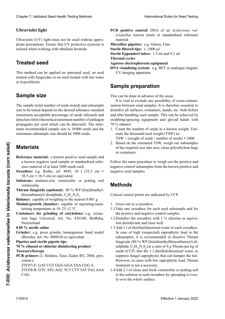## $U$ ltraviolet light

Ultraviolet (UV) light must not be used without appropriate precautions. Ensure that UV protective eyewear is utilised when working with ethidium bromide. utilised when working with ethidium bromide.

### **Treated seed Behandeltes (gebeiztes) Saatgut Semences traitées**

This method can be applied on untreated seed, on seed treated with fungicides or on seed treated with hot water<br>or hypochlorite. an Tanta mit Fungiziden en die eerste mit Fungiziden, Heißwasser oder hypochlorite. de <sub>Hyp</sub>ochloritet

### Sample size **Probengröße Sample size**

 $\mathbf{F}$ l tamaño de la muestra (número total de semillas analistas analistas analistas analistas analistas analistas analistas analistas analistas analistas analistas analistas analistas analistas analistas analistas anal nie sampie (waarnumber of seeus testeu) and subsample size to be tested depend on the desired toterance standard<br>(maximum acceptable percentage of seeds infested) and (maximum accepiable percentage of seeds infested) and minimum acceptable percentage of seeds infested) and<br>detection limit (theoretical minimum number of pathogen) propagules per seed which can be detected). The minimum recommended sample size is 10000 seeds and the maximum subsample size should be 5 propaguies per seed which can be detected). The mini-<br>mum recommended sample size is 10 000 seeds and the<br>maximum subsample size should be 5000 seeds. The sample (total number of seeds tested) and subsample (maximum acceptable percentage of seeds infested) and<br>detection limit (theoretical minimum number of pathogen<br>propagules per seed which can be detected). The minimum recommended sample size is 10000 seeds and the<br>maximum subsample size should be 5000 seeds. size to be tested depend on the desired tolerance standard mum recommended sample size is 10000 seeds and the maximum subsample size should be 5000 seeds.

#### **Materiales** betragen. mences et la taille maximum des sous-échantillons devrait **Materials**

- **Reference material:** a known positive seed sample and a known negative seed sample or standardised reference material of at least 1000 seeds each
- ence material of at least 1000 seeds each<br>Sweatbox: e.g. Rotho, ref. 4045, 10 1 (32.5 cm × 38.5 cm × 16.5 cm) or equivalent
- Substrate: medium-size vermiculite or potting soil vermiculite
- **Thiram fungicide (optional):** 80 % WP (bis(dimethylthiocarbamoyl) disulphide,  $C_6H_{12}N_2S_4$

**Balance:** capable of weighing to the nearest 0.001 g

- **Module/growth chamber:** capable of operating/maintaining temperature at  $18-25 \pm 2$  °C  $\mathcal{L}$
- **Containers for grinding of cotyledons:** e.g. extraction bags Universal, Art. No. 430100, BioReba, **Recipientes:** encoderness de croissance **intervalsedones**

# **0.85** % sterile saline

Grinder: e.g. press grinder, homogeniser hand model **Molitary:** e.g. press grades, homogeniser nanc model (Bioreba, Art. No. 400010) or equivalent

#### nual (BioReba, Art N° 400010) o equivalente **0.85 % sterile Salzlösung** Suisse **Pipettes and sterile pipette tips Pipetas y puntas de Pipetas estériles 0,85 % de solution saline stérile**

#### **Etanol al 70 % o cloro para desinfectar Pinzas** mperes and seeme pipere ups<br>70.0/ attenul or chloring dirinfective and deet o ethanol of emotine disinfect **Pipetten** und stern stern stern stern stern stern stern stern stern stern stern stern stern stern stern stern stern stern stern stern stern stern stern stern stern stern stern stern stern stern stern stern stern stern ste **70 % ethanol or chlorine disinfecting product**<br>T  $\text{c}$ zci s/iorceps **Tweezers/forceps**

 $CAG$ 

**PUR primers (J. Heldens, Enza Zaden BV, 2004, pers.** comm.):<br> $\frac{1}{2}$ **7 CK primers** (J. Fieldells, Efiza Zadell D v, 2004, po **Pincer PCR primers** (J. Heldens, Enza Zaden BV, 2004, pers. É**thanol à 70 % or produit de désinfection chloré** comm.):

ZTO57-F: GAT CGT GGG GGA TAA CGG A ZTO58-R: GTC ATG AGC TCT CTT TAT TAG AAA <u>PCR PRIMERI (J. HELDENS, ENZA ZADEN BURGO</u><br>PERSONAL EN LA BURGO DE PERSONAL DE LA BURGO DE LA BURGO DE LA BURGO DE LA BURGO DE LA BURGO DE LA BURGO DE LA **Pinces** ZTO57-F: GAT CGT GGG GGA TAA CGG A

- PCR positive control: DNA of an Acidovorax valentianellae known strain or standardised reference *erianellae* known strain or standardised reference material contract contract contract contract contract contract contract contract contract contract contract contract contract contract contract contract contract contract contract contract contract contract contract contra
- **Microliter pipettes:** e.g. Gilson, Finn

**Sterile filtered tips:** 1–1000 µl

**Sterile Eppendorf tubes:** 1.5 ml and 0.2 ml

**Thermal cycler** Agarose electrophoresis equipment

DNA visualising system: e.g. BET or analogue reagent,<br>IIV imaging apparatus UV imaging apparatus  $\sigma$   $\sigma$  11

### **Sample preparation**  $\mathbf{Sample}$  preparation

This can be done in advance of the assay.

It is vital to exclude any possibility of cross-contamre is vitat to exclude any possibility of cross-containmation between seed samples. It is unclease essential to<br>disinfect all surfaces, containers, hands, etc. both before distinct an surfaces, containers, hands, etc. bout before and after handling each sample. This can be achieved by and after nandling each sample. This can be achieved by swaboing/spraying equipment  $1.0\%$  etnanol. and after nandling each sample. This can be achieved by swaboing/spraying equipment and gloved hands with  $\frac{10\%}{20\%}$  etnanol. **Presential to**<br>disinfect all surfaces, containers hands at a hoth hofers and after nandling each sample. swabbing/spraying equipment and gloved hands with  $\frac{10\%}{\text{et}}$ etnanol. 70 % ethanol.

- Count the number of seeds in a known weight. mate the thousand-seed weight (TSW) as: 1. Count the number of seeds in a known weight. Esti-1. Count the number of seeds in a known weight. Esti-
- mate the thousand-seed weight (TSW) as:<br>TSW = (weight of seeds / number of seeds) × 1000
- 2. Based on the estimated TSW, weigh out subsamples 2. Based on the estimated TSW, weigh out subsamples of the required size into new, clean polyethylene bags or containers.

Follow the same procedure to weigh out the positive and negative control subsamples from the known positive and negative seed samples. Follow the same procedure to weigh out the positive and negative control subsamples from the known positive and negative seed samples.

# **Methods**

Critical control points are indicated by CCP.

- 1. Grow-out in a sweatbox
- 1.1 Take one sweatbox for each seed subsample and for the positive and negative control samples.
- 1.2 Disinfect the sweatbox with 1 % chlorine or equivalent disinfectant and rinse well.
- 1.3 Add 1 l of distilled/deionised water in each sweatbox. In case of high (suspected) saprophytic load in the<br>method of high (suspected) saprophytic load in the<br>method in the subsequence of the disorder Thison m case of mgn (suspected) suprophytic four in the<br>subsamples, it is recommended to dissolve Thiram subsumpres, n is recommended to dissorve Timam<br>fungicide (80 % WP (bis(dimethylthiocarbamoyl) disulphide,  $C_6H_{12}N_2S_4$  at a ratio of 4 g Thiram per kg of surpluro,  $C_6H_{12}N_2Q_4$  at a ratio or  $\pm g$  Third in per Rg or<br>seeds (CCP) into the 1.1 distilled/dejonised water to  $r_{\text{c}}$  and  $r_{\text{c}}$  are semi-destinguished water, to seeds (CCT) mo the 11 distinct deformed water, to<br>suppress fungal saprophytes that can hamper the test. However, in cases with low saprophytic load, Thirain However, in cases with low saprophytic load, Thiram<br>treatment is not a necessity. Clearly 2. Validierte Estatist ab entropies ab 1. Januar 2022<br>
Universite transition of the statistic entropies of the statistic entropies of the statistic entropies<br>
University about the statistic entropies of the statis surpling,  $C_6H_{12}F_2G_4$  at a fatto of  $T_g$  funding per Rg of seeds (CCP) into the 1 l distilled/deionised water, to suppress 1<br>Howovor Clumptor Voldskeis See Heelin Twing Method<br>
Littravia Method Rase for See Heelin<br>
Littravia Method Heelin Twing Method<br>
Littravia (Litt) light mean one be sured with one proposes is the main of the sure of the sure of the However, in cases with low saprophytic load, Thiram **EFFECT ANDER CONTRACT ANDER CONTRACT ANDER CONTRACT ANDER CONTRACT CONTRACT CONTRACT TRACTA AND THE SEAL TO SEAL THEORY AND THE SEAL TO SEAL THEORY AND THE SEAL TO SEAL THEORY AND THE SEAL TO SEAL THEORY CORN CONTRACT AN** 
	- 1.4 Add 2 l of clean and fresh vermiculite or potting soil 1.4 Add 2 I of clean and fresh vermiculity or potting soil<br>to the solution in each sweatbox by spreading it evenly over the whole surface.

CAG CAG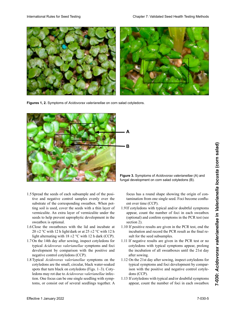

**Figures 1, 2.** Symptoms of *Acidovorax valerianellae* on corn salad cotyledons.



- 1.5 Spread the seeds of each subsample and of the positive and negative control samples evenly over the tive and negative control samples evenly over the<br>substrate of the corresponding sweatbox. When potting soil is used, cover the seeds with a thin layer of vermiculite. An extra layer of vermiculite under the<br>seeds to help prevent saprophytic development in the seeds to help prevent saprophytic development in the sweatbox is optional.
- 1.6 Close the sweatboxes with the lid and incubate at<br>20+2 °C with 12 h light/dark or at 25 +2 °C with 12 h  $20 \pm 2$  °C with 12 h light/dark or at  $25 \pm 2$  °C with 12 h<br>light alternating with  $18 \pm 2$  °C with 12 h dark (CCP).<br>On the 14th day after sowing inspect cotyledons for light alternating with  $18 \pm 2$  °C with 12 h dark (CCP).
- 1.7 On the 14th day after sowing, inspect cotyledons for typical *Acidovorax valerianellae* symptoms and foci development by comparison with the positive and<br>negative control cotyledons (CCP).<br>Timinal deidsprogram politically a symptoms on the de vereplied by comparison with the positive and negative control cotyledons (CCP).
- negative control cotypedons (CCP).<br>1.8 Typical *Acidovorax valerianellae* symptoms on the cotyledons are the small, circular, black water-soaked<br>spots that turn black on cotyledons (Figs. 1–3). Coty-1.8 Localizations are the sinan, encurary oracid water-soarcule spois that turn black on cotyneuous (Figs.  $1-y$ ). Cotyledons may rot due to *Acidovorax valerianellae* infection. One focus can be one single seedling with sympcoryfedoris are the small, chemal, black water-soaked spots that turn black on cotyledons (Figs.  $1-3$ ). Cotytom. One focus can be one single seedling with symptoms, or consist out of several seedlings together. A

Figure 3. Symptoms of Acidovorax valerianellae (A) and fungal development on corn salad cotyledons (B).

focus has a round shape showing the origin of contamination from one single seed. Foci become confluent over time (CCP). ent over time (CCP).<br>If cotyledons with typical and/or doubtful symptoms

- appear, count the number of foci in each sweatbox (optional) and confirm symptoms in the PCR test (see<br>section 2).<br>1.10 If positive results are given in the PCR test, end the<br>incubation and record the PCR result as the final re- $\text{section 2}.$ section 2).<br>1.10 If positive results are given in the PCR test, end the 1.9 If cotyledons with typical and/or doubtful symptoms appear, count the number of foci in each sweatbox
- incubation and record the PCR result as the final result for the seed subsamples.
- 1.11 If negative results are given in the PCR test or no<br>cotyledons with typical symptoms appear, prolong<br>the incubation of all sweetboxes until the 21st dov cotyledons with typical symptoms appear, prolong<br>the ineulation of all symptoms appear, prolong sub-multiplement de semithe incubation of all sweatboxes until the 21st day<br>often couring after sowing. 1.12 On the 21st day after sowing, inspect cotyledons for 1.12 On the 21st day after sowing, inspect cotyledons for
- 1.12 On the 21st day after sowing, inspect cotyledons for<br>typical symptoms and foci development by compartípical symptoms and foci development by comparcajas humedas hasta el día 21 de junha 21 de la siempre 1<sup>1</sup> COD<sup>1</sup> en el día 10 desembra se inspecto de la siembra se inspecto de la siema se inspecto de la siema de la siema de la siema de la siema de la siema de la siema de la siema de la siema de la siema de la siema de la dons (CCI).<br> $\frac{16}{5}$  el de-keine Kotyledonen mit Symptomen auftreten, istorien mit Symptomen auftreten, istorien mit Symptomen auftreten, istorien mit Symptomen auftreten, istorien mit Symptomen auftreten, istorien mit cyptear symptoms and foel development by compartie 2 1.1.10 ison with the positive and negative control cotyleuons (CCI).<br> $\frac{10}{2}$ dons (CCP).
- In corvictions with typical and/or doubtrul symptoms appear, count the number of foci in each sweatbox 1.13 If cotyledons with typical and/or doubtful symptoms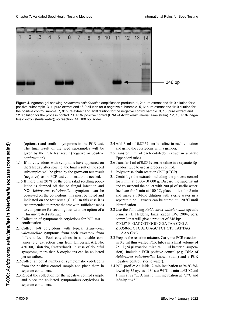

**Figure 4.** Agarose gel showing *Acidovorax valerianellae* amplification products. 1, 2: pure extract and 1/10 dilution for a **Figure 4.** Agarose gel showing *Acidovorax valerianellae* amplification products. 1, 2: pure extract and 1/10 dilution for a<br>positive subsample. 3, 4: pure extract and 1/10 dilution for a negative subsample. 5, 6: pure ex the positive control sample. 7, 8: pure extract and 1/10 dilution for the negative control sample. 9, 10: pure extract and 1/10 dilution for the process control. 11: PCR positive control (DNA of Acidovorax valerianellae strain). 12, 13: PCR negade PCR (ADN de la cepa de *Acidovorax valerianellae*). 12 ,13: control negativo de PCR (agua estéril); sin reacción. 14: *valerianellae*-Isolates). 12, 13: PCR Negativkontrolle (steriles Wasser); keine Reaktion. 14: 100 bp Leiter ). 12,13 : témoin négatif de PCR (eau stérile) ; aucune réaction. 14 : échelle de 100 pb. tive control (sterile water); no reaction. 14: 100 bp ladder.

(optional) and confirm symptoms in the PCR test. (optional) and confirm symptoms in the PCR test.<br>The final result of the seed subsamples will be given by the PCR test result (negative or positive confirmation).

- 1.14 If no cotyledons with symptoms have appeared on the 21st day after sowing, the final result of the seed subsamples will be given by the grow-out test result<br>(negative), as no PCR test confirmation is needed. (negative), as no PCR test confirmation is needed.
- 1.15 If more than 20 % of the corn salad seedling population is damped off due to fungal infection and<br>NO Acidovorar valerianellae symptoms can be NO *Acidovorax valerianellae* symptoms can be observed on the cotyledons, this must be noted and indicated on the test result (CCP). In this case it is recommended to repeat the test with sufficient seeds to compensate for seedling loss with the option of a<br>Thinne tracted substants. to compensate for securing foss what the spitch of a Thiram-treated substrate. From the PCR test the mode of the seale of the seale of the seale of the seale of the seale substantial of the seale substantial  $\frac{1}{2}$  and grid the conformation).<br>
The final result (tagative or positive 2.5 Transfer 1
	- *vallaction of gymentometic*, esto debe for DCD test trado e indicado en el resultado en el resultado de la resultado de mais de la contrado de la contrado de la c<br>Confirmation *vallastian af symptometic astyledone* for DCD toot oncentri of symptomatic coryfedons for 1 CR test 2. Collection of symptomatic cotyledons for PCR test concetion of sym-<br>confirmation
	- En este caso se recomienda repetir el análisis con un  $\frac{1}{10}$  corrections with typical *Actuovorux* valerianellae symptoms from each sweatbox from vaterianetiae symptoms nom each sweatoox nom<br>different foci. Pool cotyledons in a suitable container (e.g. extraction bags from Universal, Art. No. tamer (e.g. extraction bags from Universal, Art. No.<br>430100, BioReba, Switzerland). In case of doubtful symptoms, more than 8 cotyledons can be collected per sweatbox. dem Testergebnis verzeichnet sein (KKP). In diesem  $\frac{F_0}{V_0}$  colyndoms with typical *Actubiorum* 2.1 Collect 1–8 cotyledons with typical Acidovorax<br>valerianellae symptoms from each sweatbox from
	- per sweatbox.<br>2.2 Collect an equal number of symptomatic cotyledons from the positive control sample and place them in separate containers.
	- 2.3 Repeat the collection for the negative control sample 2.3 Repeat the collection for the negative control sample<br>and place the collected symptomless cotyledons in separate containers. Research of the separate containers.
- 2.4 Add 3 ml of 0.85 % sterile saline in each container and grind the cotyledons with a grinder. 2.4 Add 3 ml of 0.85 % sterile saline in each container and grind the cotyledons with a grinder.
- 2.5 Transfer 1 ml of each cotyledon extract in separate Eppendorf tubes.
- 2.6 Transfer 1 ml of 0.85 % sterile saline in a separate Eppendorf tube to use as process control. pendorf tube to use as process control.<br>3. Polymerase chain reaction (PCR)(CCP)<br>3.1 Centrifuge the extracts including the process control
- 3. Polymerase chain reaction (PCR)(CCP)
- for 5 min at 6000–10 000 *g*. Discard the supernatant and re-suspend the pellet with 200 µl of sterile water.<br>Incubate for 5 min at 100  $^{\circ}$ C place on ice for 5 min Incubate for 5 min at 100  $^{\circ}$ C, place on ice for 5 min and make a 10-fold dilution with sterile water in a separate tube. Extracts can be stored at −20 °C until trol del proceso. 3.1 Zentrifugieren der Extrakte einschließlich der Durch-2.6 Transférer 1 ml de solution saline stérile à 0,85 % dans identification.
- 3.2 Use the following *Acidovorax valerianellae* specific primers (J. Heldens, Enza Zaden BV, 2004, pers.  $_{\text{new}}$ ) that will six a graduat of 246 km. primers (c. readems, Engla Zadem B v, 2001, pers.<br>comm.) that will give a product of 346 bp: brenadante y resuspender el pellet con 200 µl de agua 3.1 Centrifuger les extraits y compris le témoin du pro-ZTO57-F: GAT CGT GGG GGA TAA CGG A  $E$ i $O$  $I$ -i. Oni colocar ova integral.<br>Zeocar en ano 100 km en hielo por 100 km. 5 min y hacer una dilución 1:10 con agua estéril en un bei 100 °C, anschließend Inkubation auf Eis für 5 min und Erstellung einer 10**×**-Verdünnung mit sterilem Wasser in einem neuen Gefäß. Die Extrakte können bei ZTO58-R: GTC ATG AGC TCT CTT TAT TAG 21037-1. GAT COT GOG GOATAA COOR<br>
ZTO58-R: GTC ATG AGC TCT CTT TAT TAG<br>
AAA CAG<br>
3.3 Prepare the reaction mixture. Carry out PCR reactions AAA CAG
- $t_{\rm A}$ tubo separados pueden ser almacenados pueden ser almacenados pueden ser almacenados pueden ser almacenados pueden ser almacena ser almacena ser almacena ser almacena ser almacena ser almacena ser almacena ser alma Prepare the reaction inixture.  $C_8$ in 0.2 ml thin walled PCR tubes in a final volume of *Δ* μι (*Δ* μι reaction mixture + 1 μι bacterial suspension). Include a PCR positive control (e.g. DNA of de 346 pb: ZTO58-R: GTC ATG AGC TCT CTT TAT TAG AAA 3.2 Utiliser les amorces spécifiques d' *Acidovorax Acidovorax valerianellae* known strain) and a PCR negative control (sterile water).  $AAUAU$ dixieme avec de l'extraits dans un tube différent. Les peuvent de la peuvent de la peuvent de la peuvent différent de la peuvent de la peuvent de la peuvent de la peuvent de la peuvent de la peuvent de la peuvent de la pe 25 µl (24 µl reaction mixture  $+$  1 µl bacterial suspen-
- 3.4 PCR profile: An initial 2 min incubation at  $94^{\circ}$ C fol-3.4 PCR profile: An initial 2 min incubation at 94 °C followed by 35 cycles of 30 s at 94 °C, 1 min at 63 °C and 1 min at 72 °C. A final 5 min incubation at 72 °C and infinity at  $4^{\circ}$ C.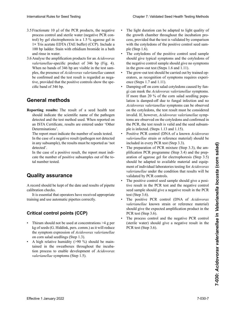- $3.5$  Fractionate 10 µl of the PCR products, the negative process control and sterile water (negative PCR conprocess control and sterile water (negative PCR control) by gel electrophoresis in a 1.5 % agarose gel in  $1 \times$  Tris acetate EDTA (TAE buffer) (CCP). Include a 100 bp ladder. Stain with ethidium bromide in a bath and rinse in water. 100 bp ladder. Stain with ethidium bromide in a bath and rinse in water.
- 3.6 Analyse the amplification products for an *Acidovorax* valerianellae-specific product of 346 bp (Fig. 4). When no bands of 346 bp are visible in the test sam-<br>ples the presence of *Acidovorax valerianellae* cannot ples, the presence of *Acidovorax valerianellae* cannot be confirmed and the test result is regarded as negative, provided that the positive controls show the spe-<br>eife band of 346 ba  $P<sub>1</sub>$ ,  $P<sub>2</sub>$ ,  $P<sub>3</sub>$  marchanolecular (MPM) cific band of 346 bp.  $\frac{1}{2}$  for  $\frac{1}{2}$  for  $\frac{1}{2}$ . 3.6 Analyse der Amplifikationsprodukte von *Acidovorax* du processus et de la diélectrophorès et d'ans de la dièlectrophorès<br>et d'agarose de taille de 1,5 %) dans du Tampon TAE 1,5 % dans un marqueur de taille de 100 pp. Révéler le gel<br>dans un marque un marque un marqueur de ta

#### Conoral mothode to específico de *Acidovorax valerianellae* de 346 pb suchungsproben auftreten, kann die Anwesenheit von die Anwesenheit von die Anwesenheit von die Anwesenheit von<br>Die Anwesenheit von die Anwesenheit von die Anwesenheit von die Anwesenheit von die Anwesenheit von die Anwese **General methods**

**Reporting results:** The result of a seed health test<br>should indicate the scientific name of the pathogen<br>detected and the test method used. When reported on porting results; no result of a seed ficalification should indicate the scientific name of the pathogen detected and the test method used. When reported on an ISTA Certificate, results are entered under 'Other Determinations'.  $r_{\text{R}}$  referminations  $\frac{1}{2}$  considéré considéré considéré considéré considéré considéré conditions de la condition de la condition de la condition de la condition de la condition de la condition de la condition de

in any subsample), the results must be reported as 'not The report must indicate the num detected'. The report must indicate the number of seeds tested. In the case of a negative result (pathogen not detected

In the case of a positive result, the report must indicate the number of positive subsamples out of the to-<br>tal number tested. tal number tested.

# **Quality assurance**

A record should be kept of the date and results of pipette calibration checks.

It is essential that operators have received appropriate<br>ning and use automatic pipettes correctly. training and use automatic pipettes correctly. En el caso de un resultado positivo, el informe debe angegeben werden.

### itical co *<u>Difficult Schlief</u>*  $\bm{\mathsf{Critical}}$  control points (CCP)

- A Finitian should not be used at concentrations  $>$  4 g per kg of seeds (G. Hiddink, pers. comm.) as it will reduce on corn salad seedlings (Step 1.3). the symptom expression of *Acidovorax valerianellae* Thiram should not be used at concentrations  $>4$  g per
- A high relative humidity (>90 %) should be main- $\sum_{i=1}^{\infty}$  estence in the los analytical que los and under the los and under the los and under the los and under the los and under the los and under the los and under the los and under the los and under the los and un  $t$ amentum and sweatboxes unoughout ure methods rance in the sweatboxes infoughout the inclusa-<br>tion process to enable development of *Acidovorax* Ex mgn retailed in the sweatboxes throughout the incuba*valerianellae* symptoms (Step 1.5).
- The light duration can be adapted to light quality of the growth chamber throughout the incubation process, provided that the test is validated by comparison<br>with the cotyledons of the positive control seed samwith the cotyledons of the positive control seed sam $ple$  (Step 1.6). ple (Step 1.6).<br>The cotyledons of the positive control seed sample
- should give typical symptoms and the cotyledons of the negative control sample should give no symptoms<br>in the grow-out test (Steps 1.6 and 1.11) in the grow-out test (Steps 1.6 and 1.11).
- The grow-out test should be carried out by trained operators, as recognition of symptoms requires experience (Steps  $1.7$  and  $1.11$ ) erators, as recognition of symptoms requires experi- $\frac{1}{2}$  and  $\frac{1}{2}$  and  $\frac{1}{2}$  and  $\frac{1}{2}$ .
- Damping-off on corn salad cotyledons caused by fun-Bunping on on comparative corrections caused by rangi<br>gi can mask the *Acidovorax valerianellae* symptoms. If more than 20 % of the corn salad seedling popu-11 inote than 20 % of the corn states seeding population is damped-off due to fungal infection and no  $\mu_{\text{e}}$ <sup>1</sup> El análisis de crecimiento de crecimiento de cabo por per- $\frac{1}{2}$ sonal entrenado ya que el reconocimiento de síntomas de síntomas de síntomas de síntomas de síntomas de síntomas de síntomas de síntomas de síntomas de síntomas de síntomas de síntomas de síntomas de síntomas de on the cotyledons, the test result must be considered invalid. If, however, *Acidovorax valerianellae* symptoms are observed on the cotyledons and confirmed in toms are observed on the cotyledons and confirmed in<br>the PCR, the test result is valid and the seed subsample is infected. (Steps 1.13 and 1.15). durch is damped-on due to fungar infection and no *Acidovorax valerianellae* symptoms can be observed International Rule Instead Court Chapter X: Unit pair of Validated Seed Health Testing Court Chapter 1: The main testing Chapter 1: The main testing Court Chapter 1: The main testing Court Chapter 1: Unit and the seed Cha
	- Positive PCR control (DNA of a known *Acidovorax valerianellae* strain or reference material) should be included in every PCR test (Step 3.3). ple is infected. (Steps 1.13 and 1.15).<br>Positive PCR control (DNA of a known *Acidovorax*<br>valerianellae strain or reference material) should be<br>included in every PCR test (Step 3.3).<br>The preparation of PCR mixture (Step 3.
	- included in every PCR test (Step 3.3).<br>The preparation of PCR mixture (Step 3.3), the amaration of agarose gel for electrophoresis (Step 3.5) should be adapted to available material and equipment of individual laboratories testing for *Acidovorax valerianellae* under the condition that results will be validated by PCR controls.
	- validated by PCR controls.<br>The positive control seed sample should give a positive result in the PCR test and the negative control seed sample should give a negative result in the PCR test (Step 3.6).
	- The positive PCR control (DNA of *Acidovorax valerianellae* known strain or reference material) should give the expected amplification product in the valerianellae known strain or reference material) should give the expected amplification product in the PCR test (Step 3.6).
	- The process control and the negative PCR control  $\frac{1}{\sqrt{2}}$  (sterile water) should give a negative result in the  $\frac{1}{2}$  (sterile water) should give a negative result in the  $DCD$  toot  $(Ston 2.6)$  $\overline{\text{Cov}}$  (see  $\overline{\text{Sov}}$ ). Ergebnis in der PCR-Untersuchung erzielt und die Der Untersuchung die Ergebnis zu die Indiana und die PCR-Untersuchung eine Ergebnis zu die PCR test (Step 3.6).  $\sum_{i=1}^n$ • Le témoin positif de l'échantillon de semences doit donné un résultat positif au test de PCR et le contrôle négatif des échantillons de semences doit donné un résultat négatif au test de PCR.(étape 3.6).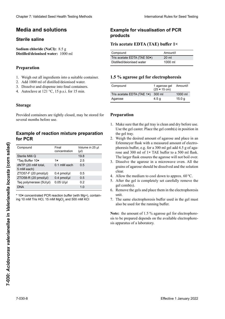# **Medios y soluciones Medien und Lösungen Milieux et solutions Media and solutions**

# $\mathbf{S}$ terile saline

# **Preparación Herstellung Préparation Preparation**

- 1. Weigh out all ingredients into a suitable container.
- 2. Add 1000 ml of distilled/deionised water.
- 2. The 1000 ml of element extensive when
- $\frac{3.6}{4}$  Autoeleve et 121.0C, 15 n s i for 15 min  $4.$  Autoclave at 121 °C, 15 p.o.f. for 15 min.  $\Delta$ utoologo at 121 °C 15 n s i for 15 min  $\frac{1}{4}$ . Autoklave at 121 °C, 15 p.s.i. für 15 min. 4. Autoclave at  $121 \degree C$ , 15 p.s.i. for 15 min.

### **Almacenaje Lagerung Storage**

# **Ejemplo de preparación de la mezcla de Exemple de mélange réactionnel pour Example of reaction mixture preparation reacción para PCR Beispiel für die Herstellung eines PCR for PCR**

| <b>Media and solutions</b><br><b>Sterile saline</b><br>Sodium chloride (NaCl): 8.5 g                                                                                   |                                            | <b>Example for visualisation of PCR</b><br>products<br>Tris acetate EDTA (TAE) buffer 1× |                                                                                                                                                                                                                                                                                                               |                  |                                    |
|------------------------------------------------------------------------------------------------------------------------------------------------------------------------|--------------------------------------------|------------------------------------------------------------------------------------------|---------------------------------------------------------------------------------------------------------------------------------------------------------------------------------------------------------------------------------------------------------------------------------------------------------------|------------------|------------------------------------|
|                                                                                                                                                                        |                                            |                                                                                          |                                                                                                                                                                                                                                                                                                               |                  | Distilled/deionised water: 1000 ml |
|                                                                                                                                                                        |                                            |                                                                                          | Tris acetate EDTA (TAE 50x)                                                                                                                                                                                                                                                                                   | 20 ml            |                                    |
| Preparation                                                                                                                                                            |                                            |                                                                                          | Distilled/deionised water                                                                                                                                                                                                                                                                                     | 1000 ml          |                                    |
| 1. Weigh out all ingredients into a suitable container.                                                                                                                |                                            |                                                                                          | 1.5 % agarose gel for electrophoresis                                                                                                                                                                                                                                                                         |                  |                                    |
| 2. Add 1000 ml of distilled/deionised water.<br>3. Dissolve and dispense into final containers.<br>4. Autoclave at $121 \text{ °C}$ , $15 \text{ p.s.}$ i. for 15 min. |                                            | Compound                                                                                 | 1 agarose gel<br>$(25 \times 15 \text{ cm})$                                                                                                                                                                                                                                                                  | Amount/l         |                                    |
|                                                                                                                                                                        |                                            |                                                                                          | Tris acetate EDTA (TAE 1x)                                                                                                                                                                                                                                                                                    | 300 ml           | 1000 ml                            |
|                                                                                                                                                                        |                                            |                                                                                          | Agarose                                                                                                                                                                                                                                                                                                       | 4.5 <sub>g</sub> | 15.0 <sub>g</sub>                  |
| Provided containers are tightly closed, may be stored for<br>several months before use.                                                                                |                                            |                                                                                          | Preparation<br>1. Make sure that the gel tray is clean and dry before use.                                                                                                                                                                                                                                    |                  |                                    |
| <b>Example of reaction mixture preparation</b><br>for PCR<br>Volume in 25 µl<br>Compound<br>Final<br>concentration<br>$(\mu I)$                                        |                                            |                                                                                          | Use the gel caster. Place the gel comb(s) in position in<br>the gel tray.<br>2. Weigh the desired amount of agarose and place in an<br>Erlenmeyer flask with a measured amount of electro-<br>phoresis buffer, e.g. for a 300 ml gel add 4.5 g of aga-<br>rose and 300 ml of 1× TAE buffer to a 500 ml flask. |                  |                                    |
| Sterile Milli Q                                                                                                                                                        |                                            | 19.8                                                                                     |                                                                                                                                                                                                                                                                                                               |                  |                                    |
| *Taq Buffer 10x                                                                                                                                                        | 1x                                         | 2.5                                                                                      | The larger flask ensures the agarose will not boil over.                                                                                                                                                                                                                                                      |                  |                                    |
| dNTP (20 mM total,<br>5 mM each)                                                                                                                                       | 0.1 mM each                                | 0.5                                                                                      | 3. Dissolve the agarose in a microwave oven. All the<br>grains of agarose should be dissolved and the solution<br>clear.                                                                                                                                                                                      |                  |                                    |
| ZTO57-F (20 pmol/µl)<br>ZTO58-R (20 pmol/µl)                                                                                                                           | $0.4$ pmol/ $\mu$ l<br>$0.4$ pmol/ $\mu$ l | 0.5<br>0.5                                                                               | 4. Allow the medium to cool down to approx. $60^{\circ}$ C.<br>5. After the gel is completely set carefully remove the                                                                                                                                                                                        |                  |                                    |
| Taq polymerase (5U/µl)                                                                                                                                                 | $0.05$ U/µl                                | 0.2                                                                                      |                                                                                                                                                                                                                                                                                                               |                  |                                    |
| <b>DNA</b>                                                                                                                                                             |                                            | 1.0                                                                                      | gel comb(s).                                                                                                                                                                                                                                                                                                  |                  |                                    |
| * 10x concentrated PCR reaction buffer (with Mg+), contain-<br>ing 10 mM Tris HCl, 15 mM MgCl, and 500 mM KCl                                                          |                                            |                                                                                          | 6. Remove the gels and place them in the electrophoresis<br>unit.<br>7. The same electrophoresis buffer used in the gel must<br>also be used for the running buffer.                                                                                                                                          |                  |                                    |
|                                                                                                                                                                        |                                            |                                                                                          | Note: the amount of 1.5 % agarose gel for electrophore-<br>sis to be prepared depends on the available electrophore-<br>sis apparatus of a laboratory.                                                                                                                                                        |                  |                                    |
|                                                                                                                                                                        |                                            |                                                                                          |                                                                                                                                                                                                                                                                                                               |                  |                                    |
|                                                                                                                                                                        |                                            |                                                                                          |                                                                                                                                                                                                                                                                                                               |                  |                                    |

# **Example for visualisation of PCR de PCR PCR-Produkte products**

## **Tris acetate EDTA (TAE) buffer 1×**

| Compound                    | Amount/l         |
|-----------------------------|------------------|
| Tris acetate EDTA (TAE 50x) | $20 \mathrm{ml}$ |
| Distilled/deionised water   | 1000 ml          |

# **Gel de agarosa 1,5 % para electroforesis 1,5 % Agarose-Gel für die Elektrophorese Préparation du gel d'agarose pour 1.5 % agarose gel for electrophoresis**

| Compound                          | 1 agarose gel<br>$(25 \times 15 \text{ cm})$ | Amount/l          |
|-----------------------------------|----------------------------------------------|-------------------|
| Tris acetate EDTA (TAE 1x) 300 ml |                                              | 1000 ml           |
| Agarose                           | 4.5 g                                        | 15.0 <sub>q</sub> |
|                                   |                                              |                   |

### **Preparation**

- **Preparación Herstellung** Use the gel caster. Place the gel comb(s) in position in  $\ell$  in the gel tray. the gel tray. 1. Make sure that the gel tray is clean and dry before use. the gel tray.
- Weigh the desired amount of agarose and place in the gel tray.<br>2. Weigh the desired amount of agarose and place in an<br>Erlenmeyer flask with a measured amount of electrophoresis buffer, e.g. for a 300 ml gel add 4.5 g of agarose and 300 ml of 1**×** TAE buffer to a 500 ml flask. The larger flask ensures the agarose will not boil over. 2. Weigh the desired amount of agarose and place in an
- Dissolve the agarose in a microwave oven. All the 3. Dissolve the agarose in a microwave oven. All the grains of agarose should be dissolved and the solution clear. volumen permite evitar que la agarosa se derrame al agarosa se derrame al agarosa se derrame al agarosa se de dem Schutz vor Überkochen der Agarose. Der Agarose. Der Agarose. Der Agarose. Der Agarose. Der Agarose. Der Agarose. Der Agarose. Der Agarose. Der Agarose. Der Agarose. Der Agarose. Der Agarose. Der Agarose. Der Agarose. D
- 
- 4. Allow the medium to cool down to approx. 60 °C.<br>5. After the gel is completely set carefully remove the gel comb(s). 5. After the gel is completely set carefully remove the  $gel comb(s)$ .
- 6. Remove the gels and place them in the electrophoresis  $\frac{1}{4}$  enfr $\frac{1}{4}$ . Permitir que la solución se enfr $\frac{1}{4}$ 5. Nachdem das Gel vollständig ausgekühlt und erstarrt  $\frac{1}{2}$ unit.
- 7. The same electrophoresis buffer used in the gel must also be used for the running buffer. Gel mit Gelträger in die Elektrophoresekammer